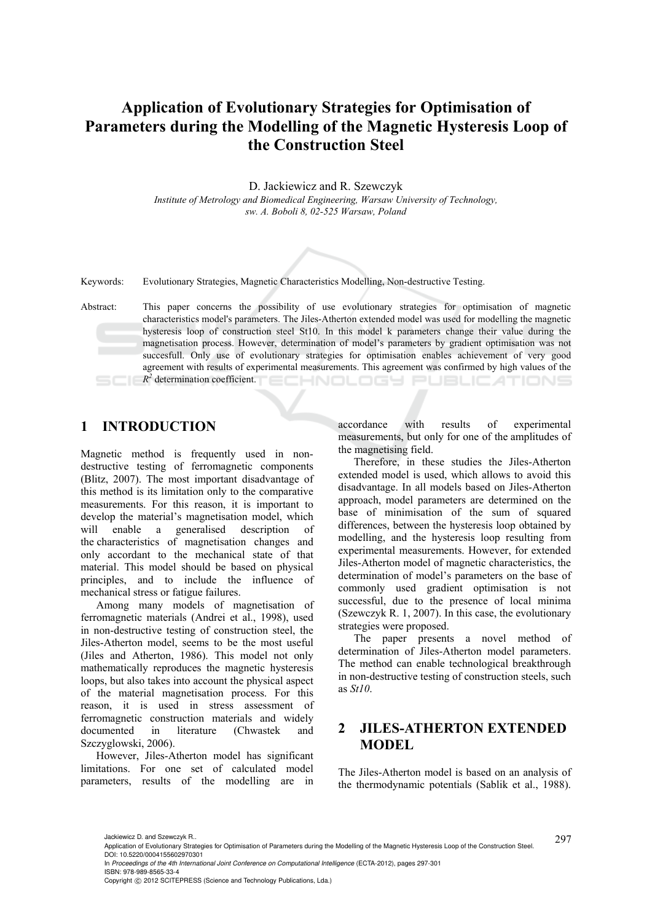# **Application of Evolutionary Strategies for Optimisation of Parameters during the Modelling of the Magnetic Hysteresis Loop of the Construction Steel**

D. Jackiewicz and R. Szewczyk

*Institute of Metrology and Biomedical Engineering, Warsaw University of Technology, sw. A. Boboli 8, 02-525 Warsaw, Poland* 



Keywords: Evolutionary Strategies, Magnetic Characteristics Modelling, Non-destructive Testing.

Abstract: This paper concerns the possibility of use evolutionary strategies for optimisation of magnetic characteristics model's parameters. The Jiles-Atherton extended model was used for modelling the magnetic hysteresis loop of construction steel St10. In this model k parameters change their value during the magnetisation process. However, determination of model's parameters by gradient optimisation was not succesfull. Only use of evolutionary strategies for optimisation enables achievement of very good agreement with results of experimental measurements. This agreement was confirmed by high values of the *R2* determination coefficient. **ECHNOLOGY PUBLICATIONS** 

# **1 INTRODUCTION**

Magnetic method is frequently used in nondestructive testing of ferromagnetic components (Blitz, 2007). The most important disadvantage of this method is its limitation only to the comparative measurements. For this reason, it is important to develop the material's magnetisation model, which will enable a generalised description of the characteristics of magnetisation changes and only accordant to the mechanical state of that material. This model should be based on physical principles, and to include the influence of mechanical stress or fatigue failures.

Among many models of magnetisation of ferromagnetic materials (Andrei et al., 1998), used in non-destructive testing of construction steel, the Jiles-Atherton model, seems to be the most useful (Jiles and Atherton, 1986). This model not only mathematically reproduces the magnetic hysteresis loops, but also takes into account the physical aspect of the material magnetisation process. For this reason, it is used in stress assessment of ferromagnetic construction materials and widely documented in literature (Chwastek and Szczyglowski, 2006).

However, Jiles-Atherton model has significant limitations. For one set of calculated model parameters, results of the modelling are in

accordance with results of experimental measurements, but only for one of the amplitudes of the magnetising field.

Therefore, in these studies the Jiles-Atherton extended model is used, which allows to avoid this disadvantage. In all models based on Jiles-Atherton approach, model parameters are determined on the base of minimisation of the sum of squared differences, between the hysteresis loop obtained by modelling, and the hysteresis loop resulting from experimental measurements. However, for extended Jiles-Atherton model of magnetic characteristics, the determination of model's parameters on the base of commonly used gradient optimisation is not successful, due to the presence of local minima (Szewczyk R. 1, 2007). In this case, the evolutionary strategies were proposed.

The paper presents a novel method of determination of Jiles-Atherton model parameters. The method can enable technological breakthrough in non-destructive testing of construction steels, such as *St10*.

## **2 JILES-ATHERTON EXTENDED MODEL**

The Jiles-Atherton model is based on an analysis of the thermodynamic potentials (Sablik et al., 1988).

In *Proceedings of the 4th International Joint Conference on Computational Intelligence* (ECTA-2012), pages 297-301 ISBN: 978-989-8565-33-4

Jackiewicz D. and Szewczyk R..<br>Application of Evolutionary Strategies for Optimisation of Parameters during the Modelling of the Magnetic Hysteresis Loop of the Construction Steel.  $\qquad 297$ DOI: 10.5220/0004155602970301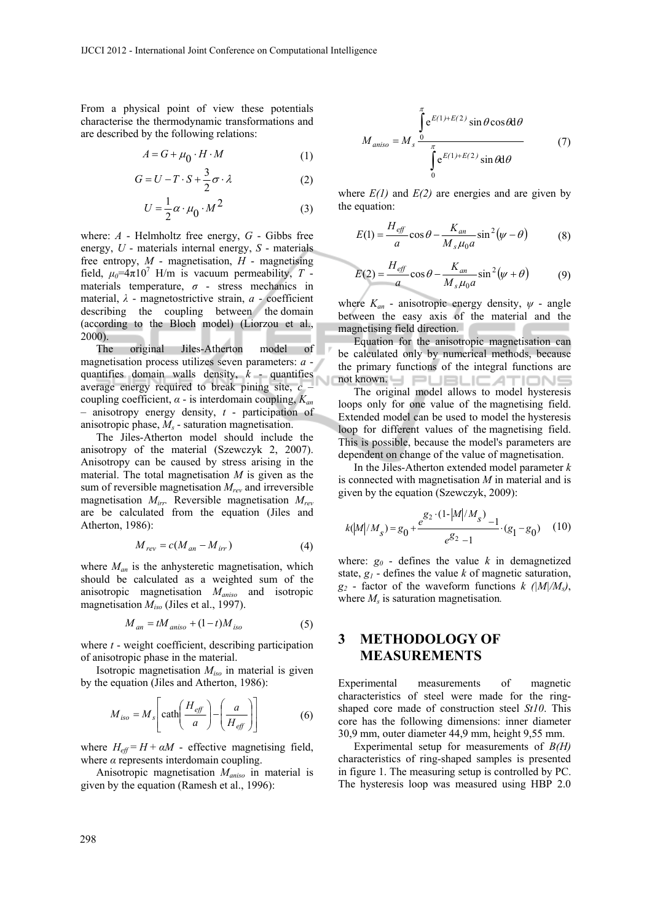From a physical point of view these potentials characterise the thermodynamic transformations and are described by the following relations:

$$
A = G + \mu_0 \cdot H \cdot M \tag{1}
$$

$$
G = U - T \cdot S + \frac{3}{2}\sigma \cdot \lambda \tag{2}
$$

$$
U = \frac{1}{2}\alpha \cdot \mu_0 \cdot M^2 \tag{3}
$$

where: *A* - Helmholtz free energy, *G* - Gibbs free energy, *U* - materials internal energy, *S* - materials free entropy, *M* - magnetisation, *H* - magnetising field,  $\mu_0 = 4\pi 10^7$  H/m is vacuum permeability, T materials temperature,  $\sigma$  - stress mechanics in material, *λ* - magnetostrictive strain, *a* - coefficient describing the coupling between the domain (according to the Bloch model) (Liorzou et al., 2000).

The original Jiles-Atherton model of magnetisation process utilizes seven parameters: *a* quantifies domain walls density, *k* - quantifies average energy required to break pining site, *c* – coupling coefficient, *α* - is interdomain coupling, *Kan* – anisotropy energy density, *t* - participation of anisotropic phase, *Ms* - saturation magnetisation.

The Jiles-Atherton model should include the anisotropy of the material (Szewczyk 2, 2007). Anisotropy can be caused by stress arising in the material. The total magnetisation *M* is given as the sum of reversible magnetisation *Mrev* and irreversible magnetisation *Mirr.* Reversible magnetisation *Mrev* are be calculated from the equation (Jiles and Atherton, 1986):

$$
M_{rev} = c(M_{an} - M_{irr})
$$
 (4)

where  $M_{an}$  is the anhysteretic magnetisation, which should be calculated as a weighted sum of the anisotropic magnetisation *Maniso* and isotropic magnetisation *Miso* (Jiles et al., 1997).

$$
M_{an} = tM_{aniso} + (1-t)M_{iso}
$$
 (5)

where *t* - weight coefficient, describing participation of anisotropic phase in the material.

Isotropic magnetisation *Miso* in material is given by the equation (Jiles and Atherton, 1986):

$$
M_{iso} = M_s \left[ \coth\left(\frac{H_{\text{eff}}}{a}\right) - \left(\frac{a}{H_{\text{eff}}}\right) \right] \tag{6}
$$

where  $H_{\text{eff}} = H + \alpha M$  - effective magnetising field, where  $\alpha$  represents interdomain coupling.

Anisotropic magnetisation *Maniso* in material is given by the equation (Ramesh et al., 1996):

$$
M_{aniso} = M_s \frac{\int_{0}^{\pi} e^{E(1) + E(2)} \sin \theta \cos \theta d\theta}{\int_{0}^{\pi} e^{E(1) + E(2)} \sin \theta d\theta}
$$
(7)

where  $E(1)$  and  $E(2)$  are energies and are given by the equation:

$$
E(1) = \frac{H_{\text{eff}}}{a} \cos \theta - \frac{K_{an}}{M_s \mu_0 a} \sin^2(\psi - \theta)
$$
 (8)

$$
E(2) = \frac{H_{\text{eff}}}{a} \cos \theta - \frac{K_{an}}{M_s \mu_0 a} \sin^2(\psi + \theta) \tag{9}
$$

where  $K_{an}$  - anisotropic energy density,  $\psi$  - angle between the easy axis of the material and the magnetising field direction.

Equation for the anisotropic magnetisation can be calculated only by numerical methods, because the primary functions of the integral functions are not known. Hele LIE ATIONS

The original model allows to model hysteresis loops only for one value of the magnetising field. Extended model can be used to model the hysteresis loop for different values of the magnetising field. This is possible, because the model's parameters are dependent on change of the value of magnetisation.

In the Jiles-Atherton extended model parameter *k* is connected with magnetisation *M* in material and is given by the equation (Szewczyk, 2009):

$$
k(M/M_s) = g_0 + \frac{e^{g_2 \cdot (1 - |M|/M_s)} - 1}{e^{g_2} - 1} \cdot (g_1 - g_0) \quad (10)
$$

where:  $g_0$  - defines the value k in demagnetized state, *g1* - defines the value *k* of magnetic saturation,  $g_2$  - factor of the waveform functions  $k / (M/M_s)$ , where  $M<sub>s</sub>$  is saturation magnetisation.

### **3 METHODOLOGY OF MEASUREMENTS**

Experimental measurements of magnetic characteristics of steel were made for the ringshaped core made of construction steel *St10*. This core has the following dimensions: inner diameter 30,9 mm, outer diameter 44,9 mm, height 9,55 mm.

Experimental setup for measurements of *B(H)*  characteristics of ring-shaped samples is presented in figure 1. The measuring setup is controlled by PC. The hysteresis loop was measured using HBP 2.0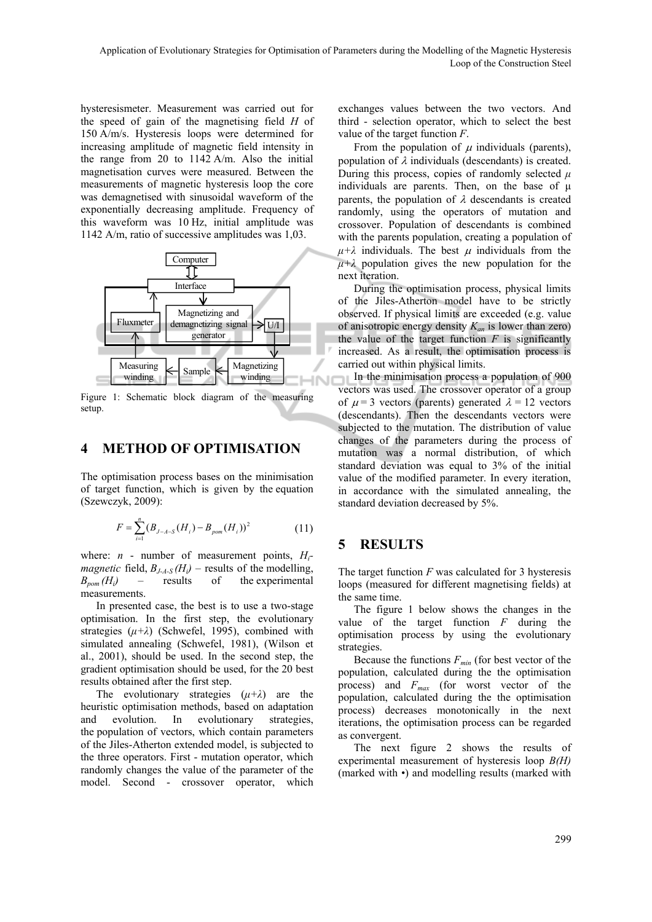hysteresismeter. Measurement was carried out for the speed of gain of the magnetising field *H* of 150 A/m/s. Hysteresis loops were determined for increasing amplitude of magnetic field intensity in the range from 20 to 1142 A/m. Also the initial magnetisation curves were measured. Between the measurements of magnetic hysteresis loop the core was demagnetised with sinusoidal waveform of the exponentially decreasing amplitude. Frequency of this waveform was 10 Hz, initial amplitude was 1142 A/m, ratio of successive amplitudes was 1,03.



Figure 1: Schematic block diagram of the measuring setup.

#### **4 METHOD OF OPTIMISATION**

The optimisation process bases on the minimisation of target function, which is given by the equation (Szewczyk, 2009):

$$
F = \sum_{i=1}^{n} (B_{J-A-S}(H_i) - B_{\text{pom}}(H_i))^2
$$
 (11)

where:  $n$  - number of measurement points,  $H_i$ *magnetic* field,  $B_{J-4-S}(H_i)$  – results of the modelling,  $B_{\text{nom}}(H_i)$  – results of the experimental measurements.

In presented case, the best is to use a two-stage optimisation. In the first step, the evolutionary strategies  $(\mu + \lambda)$  (Schwefel, 1995), combined with simulated annealing (Schwefel, 1981), (Wilson et al., 2001), should be used. In the second step, the gradient optimisation should be used, for the 20 best results obtained after the first step.

The evolutionary strategies  $(\mu + \lambda)$  are the heuristic optimisation methods, based on adaptation and evolution. In evolutionary strategies, the population of vectors, which contain parameters of the Jiles-Atherton extended model, is subjected to the three operators. First - mutation operator, which randomly changes the value of the parameter of the model. Second - crossover operator, which

exchanges values between the two vectors. And third - selection operator, which to select the best value of the target function *F*.

From the population of  $\mu$  individuals (parents), population of  $\lambda$  individuals (descendants) is created. During this process, copies of randomly selected *μ* individuals are parents. Then, on the base of μ parents, the population of  $\lambda$  descendants is created randomly, using the operators of mutation and crossover. Population of descendants is combined with the parents population, creating a population of  $\mu + \lambda$  individuals. The best  $\mu$  individuals from the  $\mu + \lambda$  population gives the new population for the next iteration.

During the optimisation process, physical limits of the Jiles-Atherton model have to be strictly observed. If physical limits are exceeded (e.g. value of anisotropic energy density *Kan* is lower than zero) the value of the target function  $F$  is significantly increased. As a result, the optimisation process is carried out within physical limits.

In the minimisation process a population of 900 vectors was used. The crossover operator of a group of  $\mu$  = 3 vectors (parents) generated  $\lambda$  = 12 vectors (descendants). Then the descendants vectors were subjected to the mutation. The distribution of value changes of the parameters during the process of mutation was a normal distribution, of which standard deviation was equal to 3% of the initial value of the modified parameter. In every iteration, in accordance with the simulated annealing, the standard deviation decreased by 5%.

## **5 RESULTS**

The target function *F* was calculated for 3 hysteresis loops (measured for different magnetising fields) at the same time.

The figure 1 below shows the changes in the value of the target function *F* during the optimisation process by using the evolutionary strategies.

Because the functions  $F_{min}$  (for best vector of the population, calculated during the the optimisation process) and *Fmax* (for worst vector of the population, calculated during the the optimisation process) decreases monotonically in the next iterations, the optimisation process can be regarded as convergent.

The next figure 2 shows the results of experimental measurement of hysteresis loop *B(H)* (marked with •) and modelling results (marked with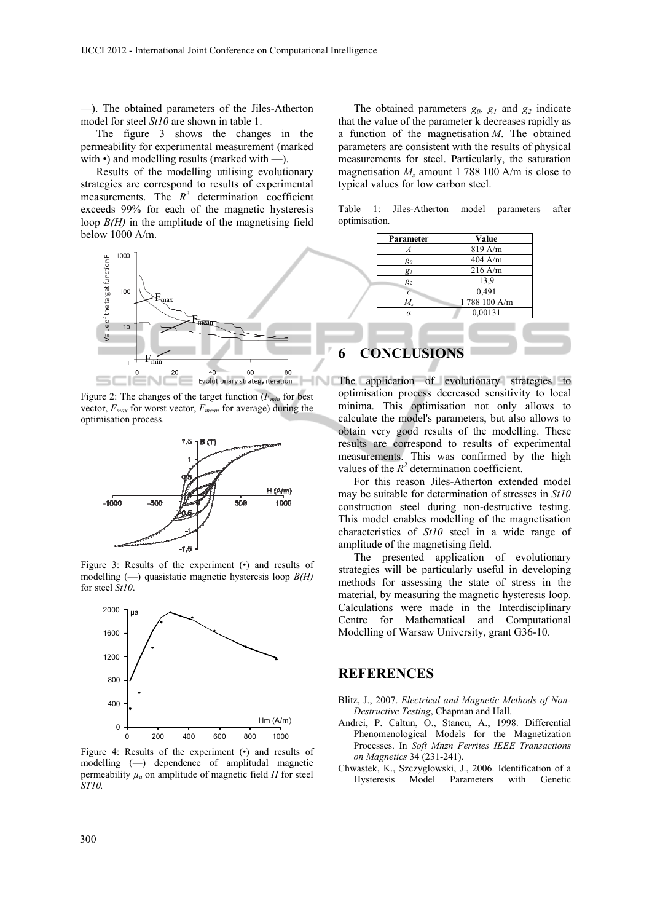—). The obtained parameters of the Jiles-Atherton model for steel *St10* are shown in table 1.

The figure 3 shows the changes in the permeability for experimental measurement (marked with •) and modelling results (marked with —).

Results of the modelling utilising evolutionary strategies are correspond to results of experimental measurements. The  $R^2$  determination coefficient exceeds 99% for each of the magnetic hysteresis loop *B(H)* in the amplitude of the magnetising field below 1000 A/m.



Figure 2: The changes of the target function  $(F_{min}$  for best vector,  $F_{max}$  for worst vector,  $F_{mean}$  for average) during the optimisation process.



Figure 3: Results of the experiment (•) and results of modelling (—) quasistatic magnetic hysteresis loop *B(H)* for steel *St10*.



Figure 4: Results of the experiment (•) and results of modelling (—) dependence of amplitudal magnetic permeability  $\mu_a$  on amplitude of magnetic field *H* for steel *ST10.*

The obtained parameters  $g_0$ ,  $g_1$  and  $g_2$  indicate that the value of the parameter k decreases rapidly as a function of the magnetisation *M*. The obtained parameters are consistent with the results of physical measurements for steel. Particularly, the saturation magnetisation  $M_s$  amount 1 788 100 A/m is close to typical values for low carbon steel.

Table 1: Jiles-Atherton model parameters after optimisation.

|   | Parameter          | Value        |  |
|---|--------------------|--------------|--|
|   |                    | 819 A/m      |  |
|   | $g_0$              | $404$ A/m    |  |
|   | $g_I$              | $216$ A/m    |  |
|   | $g_2$              | 13,9         |  |
|   | $\overline{c}$     | 0,491        |  |
|   | $M_{s}$            | 1788 100 A/m |  |
|   | $\alpha$           | 0,00131      |  |
|   |                    |              |  |
|   |                    |              |  |
|   |                    |              |  |
| 6 | <b>CONCLUSIONS</b> |              |  |

The application of evolutionary strategies to optimisation process decreased sensitivity to local minima. This optimisation not only allows to calculate the model's parameters, but also allows to obtain very good results of the modelling. These results are correspond to results of experimental measurements. This was confirmed by the high values of the  $R^2$  determination coefficient.

For this reason Jiles-Atherton extended model may be suitable for determination of stresses in *St10* construction steel during non-destructive testing. This model enables modelling of the magnetisation characteristics of *St10* steel in a wide range of amplitude of the magnetising field.

The presented application of evolutionary strategies will be particularly useful in developing methods for assessing the state of stress in the material, by measuring the magnetic hysteresis loop. Calculations were made in the Interdisciplinary Centre for Mathematical and Computational Modelling of Warsaw University, grant G36-10.

#### **REFERENCES**

- Blitz, J., 2007. *Electrical and Magnetic Methods of Non-Destructive Testing*, Chapman and Hall.
- Andrei, P. Caltun, O., Stancu, A., 1998. Differential Phenomenological Models for the Magnetization Processes. In *Soft Mnzn Ferrites IEEE Transactions on Magnetics* 34 (231-241).
- Chwastek, K., Szczyglowski, J., 2006. Identification of a Hysteresis Model Parameters with Genetic